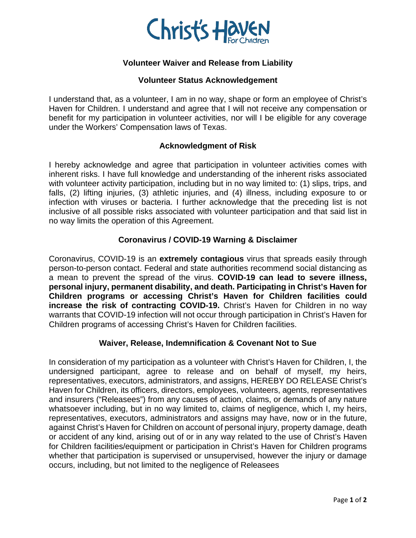

# **Volunteer Waiver and Release from Liability**

### **Volunteer Status Acknowledgement**

I understand that, as a volunteer, I am in no way, shape or form an employee of Christ's Haven for Children. I understand and agree that I will not receive any compensation or benefit for my participation in volunteer activities, nor will I be eligible for any coverage under the Workers' Compensation laws of Texas.

## **Acknowledgment of Risk**

I hereby acknowledge and agree that participation in volunteer activities comes with inherent risks. I have full knowledge and understanding of the inherent risks associated with volunteer activity participation, including but in no way limited to: (1) slips, trips, and falls, (2) lifting injuries, (3) athletic injuries, and (4) illness, including exposure to or infection with viruses or bacteria. I further acknowledge that the preceding list is not inclusive of all possible risks associated with volunteer participation and that said list in no way limits the operation of this Agreement.

## **Coronavirus / COVID-19 Warning & Disclaimer**

Coronavirus, COVID-19 is an **extremely contagious** virus that spreads easily through person-to-person contact. Federal and state authorities recommend social distancing as a mean to prevent the spread of the virus. **COVID-19 can lead to severe illness, personal injury, permanent disability, and death. Participating in Christ's Haven for Children programs or accessing Christ's Haven for Children facilities could increase the risk of contracting COVID-19.** Christ's Haven for Children in no way warrants that COVID-19 infection will not occur through participation in Christ's Haven for Children programs of accessing Christ's Haven for Children facilities.

#### **Waiver, Release, Indemnification & Covenant Not to Sue**

In consideration of my participation as a volunteer with Christ's Haven for Children, I, the undersigned participant, agree to release and on behalf of myself, my heirs, representatives, executors, administrators, and assigns, HEREBY DO RELEASE Christ's Haven for Children, its officers, directors, employees, volunteers, agents, representatives and insurers ("Releasees") from any causes of action, claims, or demands of any nature whatsoever including, but in no way limited to, claims of negligence, which I, my heirs, representatives, executors, administrators and assigns may have, now or in the future, against Christ's Haven for Children on account of personal injury, property damage, death or accident of any kind, arising out of or in any way related to the use of Christ's Haven for Children facilities/equipment or participation in Christ's Haven for Children programs whether that participation is supervised or unsupervised, however the injury or damage occurs, including, but not limited to the negligence of Releasees